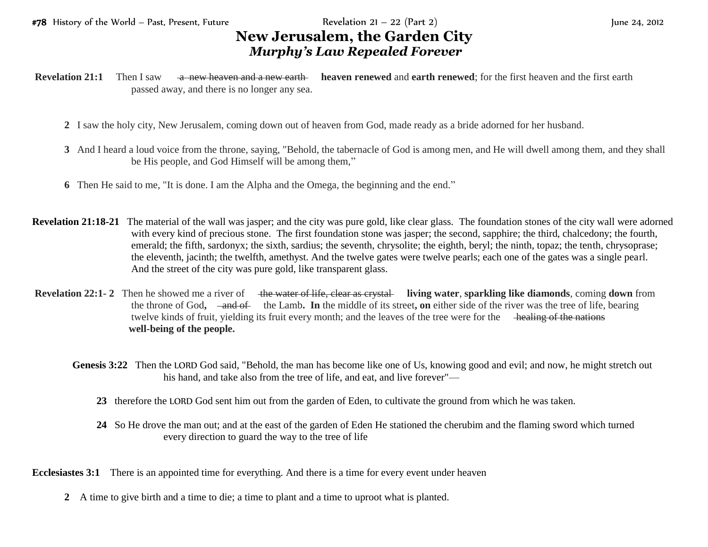## **New Jerusalem, the Garden City** *Murphy's Law Repealed Forever*

- **2** I saw the holy city, New Jerusalem, coming down out of heaven from God, made ready as a bride adorned for her husband.
- **3** And I heard a loud voice from the throne, saying, "Behold, the tabernacle of God is among men, and He will dwell among them, and they shall be His people, and God Himself will be among them,"
- **6** Then He said to me, "It is done. I am the Alpha and the Omega, the beginning and the end."
- **Revelation 21:18-21** The material of the wall was jasper; and the city was pure gold, like clear glass. The foundation stones of the city wall were adorned with every kind of precious stone. The first foundation stone was jasper; the second, sapphire; the third, chalcedony; the fourth, emerald; the fifth, sardonyx; the sixth, sardius; the seventh, chrysolite; the eighth, beryl; the ninth, topaz; the tenth, chrysoprase; the eleventh, jacinth; the twelfth, amethyst. And the twelve gates were twelve pearls; each one of the gates was a single pearl. And the street of the city was pure gold, like transparent glass.
- **Revelation 22:1-2** Then he showed me a river of the water of life, clear as crystal living water, sparkling like diamonds, coming down from the throne of God, and of the Lamb. In the middle of its street, on either side of the river was the tree of life, bearing twelve kinds of fruit, yielding its fruit every month; and the leaves of the tree were for the healing of the nations **well-being of the people.**
	- Genesis 3:22 Then the LORD God said, "Behold, the man has become like one of Us, knowing good and evil; and now, he might stretch out his hand, and take also from the tree of life, and eat, and live forever"—
		- **23** therefore the LORD God sent him out from the garden of Eden, to cultivate the ground from which he was taken.
		- **24** So He drove the man out; and at the east of the garden of Eden He stationed the cherubim and the flaming sword which turned every direction to guard the way to the tree of life

**Ecclesiastes 3:1** There is an appointed time for everything. And there is a time for every event under heaven

**2** A time to give birth and a time to die; a time to plant and a time to uproot what is planted.